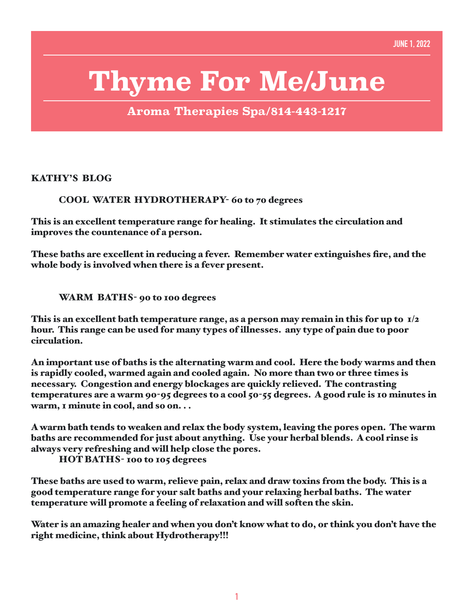## **Thyme For Me/June**

**Aroma Therapies Spa/814-443-1217**

KATHY'S BLOG

COOL WATER HYDROTHERAPY- 60 to 70 degrees

This is an excellent temperature range for healing. It stimulates the circulation and improves the countenance of a person.

These baths are excellent in reducing a fever. Remember water extinguishes fire, and the whole body is involved when there is a fever present.

WARM BATHS- 90 to 100 degrees

This is an excellent bath temperature range, as a person may remain in this for up to  $1/2$ hour. This range can be used for many types of illnesses. any type of pain due to poor circulation.

An important use of baths is the alternating warm and cool. Here the body warms and then is rapidly cooled, warmed again and cooled again. No more than two or three times is necessary. Congestion and energy blockages are quickly relieved. The contrasting temperatures are a warm 90-95 degrees to a cool 50-55 degrees. A good rule is 10 minutes in warm, 1 minute in cool, and so on. . .

A warm bath tends to weaken and relax the body system, leaving the pores open. The warm baths are recommended for just about anything. Use your herbal blends. A cool rinse is always very refreshing and will help close the pores.

HOT BATHS- 100 to 105 degrees

These baths are used to warm, relieve pain, relax and draw toxins from the body. This is a good temperature range for your salt baths and your relaxing herbal baths. The water temperature will promote a feeling of relaxation and will soften the skin.

Water is an amazing healer and when you don't know what to do, or think you don't have the right medicine, think about Hydrotherapy!!!